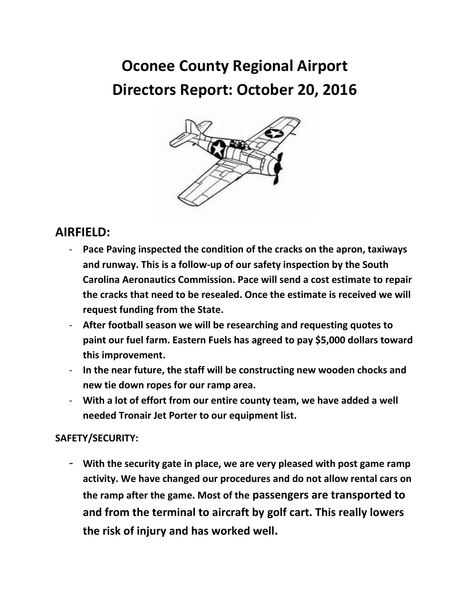# **Oconee County Regional Airport Directors Report: October 20, 2016**



# **AIRFIELD:**

- **Pace Paving inspected the condition of the cracks on the apron, taxiways and runway. This is a follow-up of our safety inspection by the South Carolina Aeronautics Commission. Pace will send a cost estimate to repair the cracks that need to be resealed. Once the estimate is received we will request funding from the State.**
- **After football season we will be researching and requesting quotes to paint our fuel farm. Eastern Fuels has agreed to pay \$5,000 dollars toward this improvement.**
- **In the near future, the staff will be constructing new wooden chocks and new tie down ropes for our ramp area.**
- **With a lot of effort from our entire county team, we have added a well needed Tronair Jet Porter to our equipment list.**

### **SAFETY/SECURITY:**

- **With the security gate in place, we are very pleased with post game ramp activity. We have changed our procedures and do not allow rental cars on the ramp after the game. Most of the passengers are transported to and from the terminal to aircraft by golf cart. This really lowers the risk of injury and has worked well.**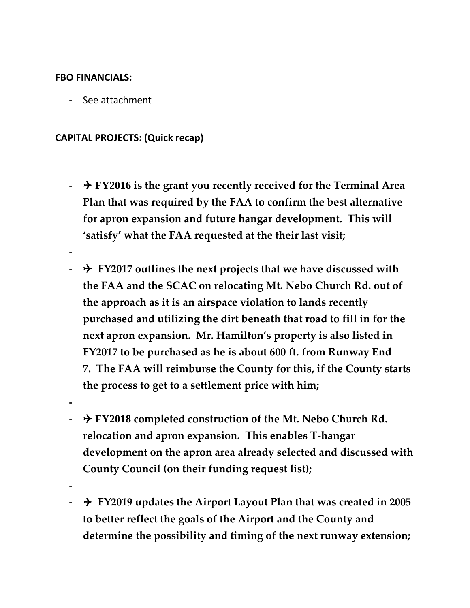#### **FBO FINANCIALS:**

**-** See attachment

#### **CAPITAL PROJECTS: (Quick recap)**

- **- FY2016 is the grant you recently received for the Terminal Area Plan that was required by the FAA to confirm the best alternative for apron expansion and future hangar development. This will 'satisfy' what the FAA requested at the their last visit;**
- **-**
- **- FY2017 outlines the next projects that we have discussed with the FAA and the SCAC on relocating Mt. Nebo Church Rd. out of the approach as it is an airspace violation to lands recently purchased and utilizing the dirt beneath that road to fill in for the next apron expansion. Mr. Hamilton's property is also listed in FY2017 to be purchased as he is about 600 ft. from Runway End 7. The FAA will reimburse the County for this, if the County starts the process to get to a settlement price with him;**
- **- FY2018 completed construction of the Mt. Nebo Church Rd. relocation and apron expansion. This enables T-hangar development on the apron area already selected and discussed with County Council (on their funding request list);**
- **-**

**-**

**- FY2019 updates the Airport Layout Plan that was created in 2005 to better reflect the goals of the Airport and the County and determine the possibility and timing of the next runway extension;**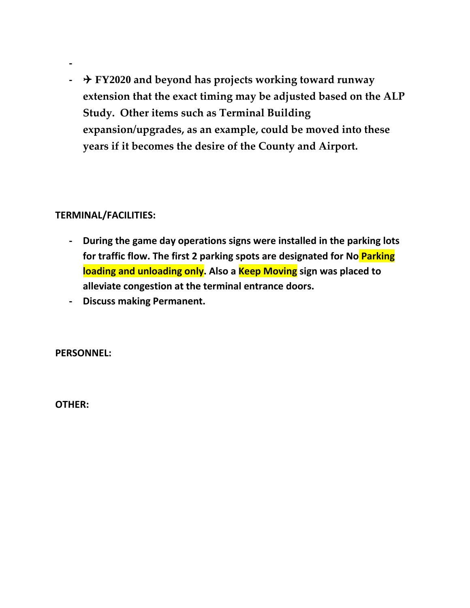**- FY2020 and beyond has projects working toward runway extension that the exact timing may be adjusted based on the ALP Study. Other items such as Terminal Building expansion/upgrades, as an example, could be moved into these years if it becomes the desire of the County and Airport.**

#### **TERMINAL/FACILITIES:**

**-**

- **- During the game day operations signs were installed in the parking lots for traffic flow. The first 2 parking spots are designated for No Parking loading and unloading only. Also a Keep Moving sign was placed to alleviate congestion at the terminal entrance doors.**
- **- Discuss making Permanent.**

**PERSONNEL:**

**OTHER:**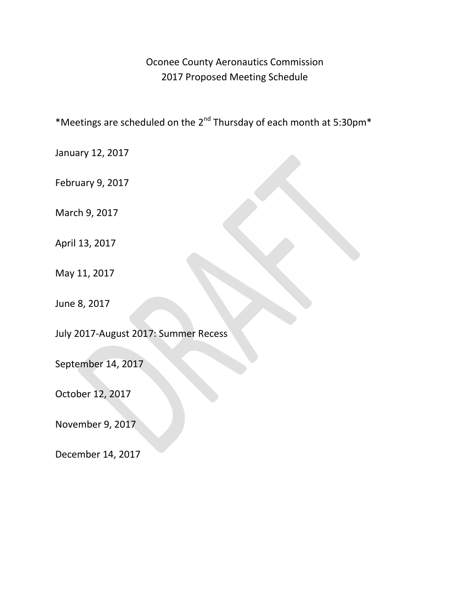## Oconee County Aeronautics Commission 2017 Proposed Meeting Schedule

\*Meetings are scheduled on the 2<sup>nd</sup> Thursday of each month at 5:30pm\*

January 12, 2017

February 9, 2017

March 9, 2017

April 13, 2017

May 11, 2017

June 8, 2017

July 2017-August 2017: Summer Recess

September 14, 2017

October 12, 2017

November 9, 2017

December 14, 2017